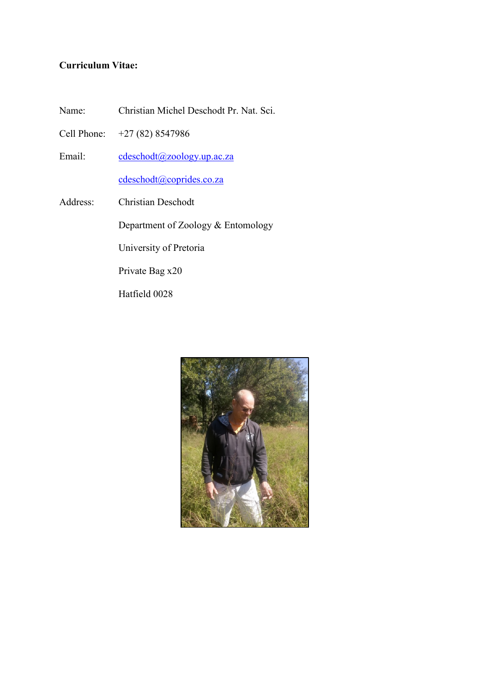# **Curriculum Vitae:**

- Name: Christian Michel Deschodt Pr. Nat. Sci.
- Cell Phone: +27 (82) 8547986
- Email: [cdeschodt@zoology.up.ac.za](mailto:cdeschodt@zoology.up.ac.za)

[cdeschodt@coprides.co.za](mailto:cdeschodt@coprides.co.za)

Address: Christian Deschodt

Department of Zoology & Entomology

University of Pretoria

Private Bag x20

Hatfield 0028

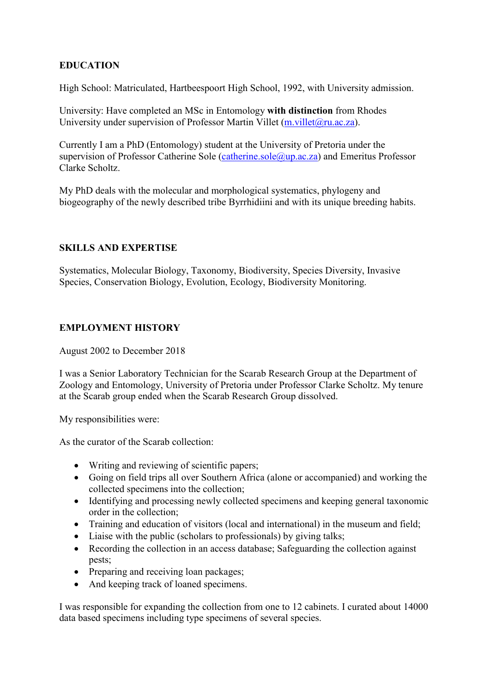# **EDUCATION**

High School: Matriculated, Hartbeespoort High School, 1992, with University admission.

University: Have completed an MSc in Entomology **with distinction** from Rhodes University under supervision of Professor Martin Villet (m. villet @ru.ac.za).

Currently I am a PhD (Entomology) student at the University of Pretoria under the supervision of Professor Catherine Sole [\(catherine.sole@up.ac.za\)](mailto:catherine.sole@up.ac.za) and Emeritus Professor Clarke Scholtz.

My PhD deals with the molecular and morphological systematics, phylogeny and biogeography of the newly described tribe Byrrhidiini and with its unique breeding habits.

### **SKILLS AND EXPERTISE**

Systematics, Molecular Biology, Taxonomy, Biodiversity, Species Diversity, Invasive Species, Conservation Biology, Evolution, Ecology, Biodiversity Monitoring.

### **EMPLOYMENT HISTORY**

August 2002 to December 2018

I was a Senior Laboratory Technician for the Scarab Research Group at the Department of Zoology and Entomology, University of Pretoria under Professor Clarke Scholtz. My tenure at the Scarab group ended when the Scarab Research Group dissolved.

My responsibilities were:

As the curator of the Scarab collection:

- Writing and reviewing of scientific papers;
- Going on field trips all over Southern Africa (alone or accompanied) and working the collected specimens into the collection;
- Identifying and processing newly collected specimens and keeping general taxonomic order in the collection;
- Training and education of visitors (local and international) in the museum and field;
- Liaise with the public (scholars to professionals) by giving talks;
- Recording the collection in an access database; Safeguarding the collection against pests;
- Preparing and receiving loan packages;
- And keeping track of loaned specimens.

I was responsible for expanding the collection from one to 12 cabinets. I curated about 14000 data based specimens including type specimens of several species.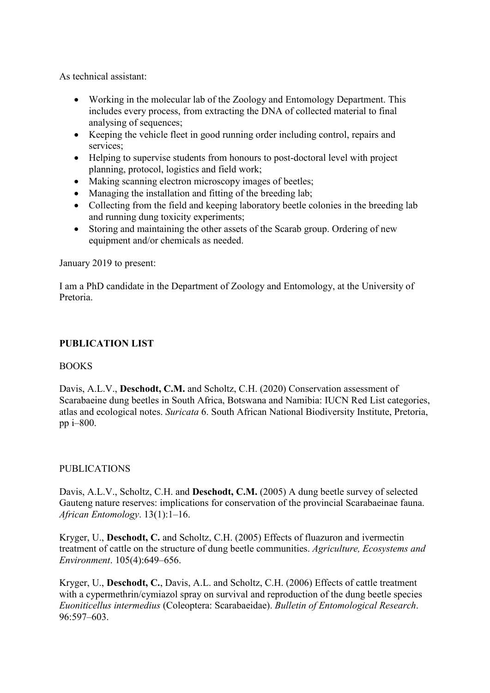As technical assistant:

- Working in the molecular lab of the Zoology and Entomology Department. This includes every process, from extracting the DNA of collected material to final analysing of sequences;
- Keeping the vehicle fleet in good running order including control, repairs and services;
- Helping to supervise students from honours to post-doctoral level with project planning, protocol, logistics and field work;
- Making scanning electron microscopy images of beetles;
- Managing the installation and fitting of the breeding lab;
- Collecting from the field and keeping laboratory beetle colonies in the breeding lab and running dung toxicity experiments;
- Storing and maintaining the other assets of the Scarab group. Ordering of new equipment and/or chemicals as needed.

January 2019 to present:

I am a PhD candidate in the Department of Zoology and Entomology, at the University of Pretoria.

## **PUBLICATION LIST**

## BOOKS

Davis, A.L.V., **Deschodt, C.M.** and Scholtz, C.H. (2020) Conservation assessment of Scarabaeine dung beetles in South Africa, Botswana and Namibia: IUCN Red List categories, atlas and ecological notes. *Suricata* 6. South African National Biodiversity Institute, Pretoria, pp i–800.

## PUBLICATIONS

Davis, A.L.V., Scholtz, C.H. and **Deschodt, C.M.** (2005) A dung beetle survey of selected Gauteng nature reserves: implications for conservation of the provincial Scarabaeinae fauna. *African Entomology*. 13(1):1–16.

Kryger, U., **Deschodt, C.** and Scholtz, C.H. (2005) Effects of fluazuron and ivermectin treatment of cattle on the structure of dung beetle communities. *Agriculture, Ecosystems and Environment*. 105(4):649–656.

Kryger, U., **Deschodt, C.**, Davis, A.L. and Scholtz, C.H. (2006) Effects of cattle treatment with a cypermethrin/cymiazol spray on survival and reproduction of the dung beetle species *Euoniticellus intermedius* (Coleoptera: Scarabaeidae). *Bulletin of Entomological Research*. 96:597–603.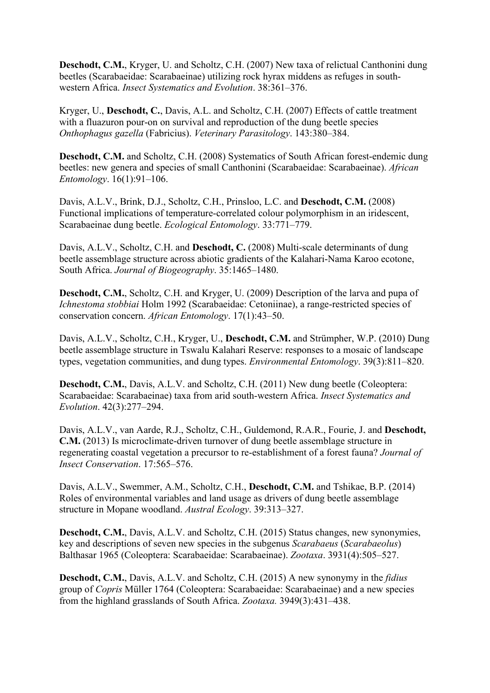**Deschodt, C.M.**, Kryger, U. and Scholtz, C.H. (2007) New taxa of relictual Canthonini dung beetles (Scarabaeidae: Scarabaeinae) utilizing rock hyrax middens as refuges in southwestern Africa. *Insect Systematics and Evolution*. 38:361–376.

Kryger, U., **Deschodt, C.**, Davis, A.L. and Scholtz, C.H. (2007) Effects of cattle treatment with a fluazuron pour-on on survival and reproduction of the dung beetle species *Onthophagus gazella* (Fabricius). *Veterinary Parasitology*. 143:380–384.

**Deschodt, C.M.** and Scholtz, C.H. (2008) Systematics of South African forest-endemic dung beetles: new genera and species of small Canthonini (Scarabaeidae: Scarabaeinae). *African Entomology*. 16(1):91–106.

Davis, A.L.V., Brink, D.J., Scholtz, C.H., Prinsloo, L.C. and **Deschodt, C.M.** (2008) Functional implications of temperature-correlated colour polymorphism in an iridescent, Scarabaeinae dung beetle. *Ecological Entomology*. 33:771–779.

Davis, A.L.V., Scholtz, C.H. and **Deschodt, C.** (2008) Multi-scale determinants of dung beetle assemblage structure across abiotic gradients of the Kalahari-Nama Karoo ecotone, South Africa. *Journal of Biogeography*. 35:1465–1480.

**Deschodt, C.M.**, Scholtz, C.H. and Kryger, U. (2009) Description of the larva and pupa of *Ichnestoma stobbiai* Holm 1992 (Scarabaeidae: Cetoniinae), a range-restricted species of conservation concern. *African Entomology*. 17(1):43–50.

Davis, A.L.V., Scholtz, C.H., Kryger, U., **Deschodt, C.M.** and Strümpher, W.P. (2010) Dung beetle assemblage structure in Tswalu Kalahari Reserve: responses to a mosaic of landscape types, vegetation communities, and dung types. *Environmental Entomology*. 39(3):811–820.

**Deschodt, C.M.**, Davis, A.L.V. and Scholtz, C.H. (2011) New dung beetle (Coleoptera: Scarabaeidae: Scarabaeinae) taxa from arid south-western Africa. *Insect Systematics and Evolution*. 42(3):277–294.

Davis, A.L.V., van Aarde, R.J., Scholtz, C.H., Guldemond, R.A.R., Fourie, J. and **Deschodt, C.M.** (2013) Is microclimate-driven turnover of dung beetle assemblage structure in regenerating coastal vegetation a precursor to re-establishment of a forest fauna? *Journal of Insect Conservation*. 17:565–576.

Davis, A.L.V., Swemmer, A.M., Scholtz, C.H., **Deschodt, C.M.** and Tshikae, B.P. (2014) Roles of environmental variables and land usage as drivers of dung beetle assemblage structure in Mopane woodland. *Austral Ecology*. 39:313–327.

**Deschodt, C.M.**, Davis, A.L.V. and Scholtz, C.H. (2015) Status changes, new synonymies, key and descriptions of seven new species in the subgenus *Scarabaeus* (*Scarabaeolus*) Balthasar 1965 (Coleoptera: Scarabaeidae: Scarabaeinae). *Zootaxa*. 3931(4):505–527.

**Deschodt, C.M.**, Davis, A.L.V. and Scholtz, C.H. (2015) A new synonymy in the *fidius* group of *Copris* Müller 1764 (Coleoptera: Scarabaeidae: Scarabaeinae) and a new species from the highland grasslands of South Africa. *Zootaxa.* 3949(3):431–438.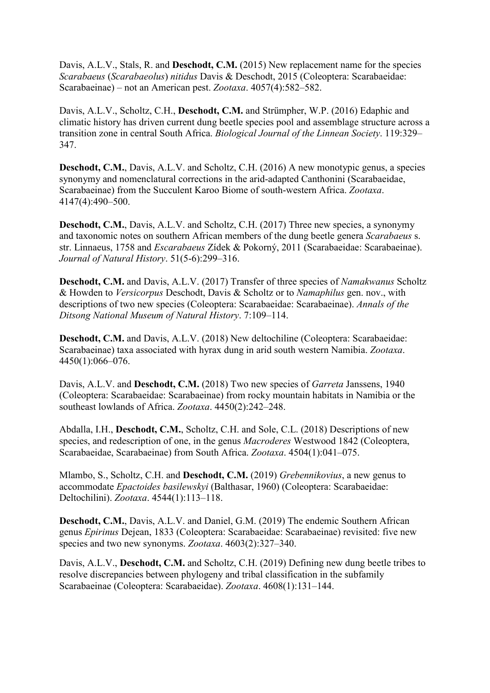Davis, A.L.V., Stals, R. and **Deschodt, C.M.** (2015) New replacement name for the species *Scarabaeus* (*Scarabaeolus*) *nitidus* Davis & Deschodt, 2015 (Coleoptera: Scarabaeidae: Scarabaeinae) – not an American pest. *Zootaxa*. 4057(4):582–582.

Davis, A.L.V., Scholtz, C.H., **Deschodt, C.M.** and Strümpher, W.P. (2016) Edaphic and climatic history has driven current dung beetle species pool and assemblage structure across a transition zone in central South Africa. *Biological Journal of the Linnean Society*. 119:329– 347.

**Deschodt, C.M.**, Davis, A.L.V. and Scholtz, C.H. (2016) A new monotypic genus, a species synonymy and nomenclatural corrections in the arid-adapted Canthonini (Scarabaeidae, Scarabaeinae) from the Succulent Karoo Biome of south-western Africa. *Zootaxa*. 4147(4):490–500.

**Deschodt, C.M.**, Davis, A.L.V. and Scholtz, C.H. (2017) Three new species, a synonymy and taxonomic notes on southern African members of the dung beetle genera *Scarabaeus* s. str. Linnaeus, 1758 and *Escarabaeus* Zídek & Pokorný, 2011 (Scarabaeidae: Scarabaeinae). *Journal of Natural History*. 51(5-6):299–316.

**Deschodt, C.M.** and Davis, A.L.V. (2017) Transfer of three species of *Namakwanus* Scholtz & Howden to *Versicorpus* Deschodt, Davis & Scholtz or to *Namaphilus* gen. nov., with descriptions of two new species (Coleoptera: Scarabaeidae: Scarabaeinae). *Annals of the Ditsong National Museum of Natural History*. 7:109–114.

**Deschodt, C.M.** and Davis, A.L.V. (2018) New deltochiline (Coleoptera: Scarabaeidae: Scarabaeinae) taxa associated with hyrax dung in arid south western Namibia. *Zootaxa*. 4450(1):066–076.

Davis, A.L.V. and **Deschodt, C.M.** (2018) Two new species of *Garreta* Janssens, 1940 (Coleoptera: Scarabaeidae: Scarabaeinae) from rocky mountain habitats in Namibia or the southeast lowlands of Africa. *Zootaxa*. 4450(2):242–248.

Abdalla, I.H., **Deschodt, C.M.**, Scholtz, C.H. and Sole, C.L. (2018) Descriptions of new species, and redescription of one, in the genus *Macroderes* Westwood 1842 (Coleoptera, Scarabaeidae, Scarabaeinae) from South Africa. *Zootaxa*. 4504(1):041–075.

Mlambo, S., Scholtz, C.H. and **Deschodt, C.M.** (2019) *Grebennikovius*, a new genus to accommodate *Epactoides basilewskyi* (Balthasar, 1960) (Coleoptera: Scarabaeidae: Deltochilini). *Zootaxa*. 4544(1):113–118.

**Deschodt, C.M.**, Davis, A.L.V. and Daniel, G.M. (2019) The endemic Southern African genus *Epirinus* Dejean, 1833 (Coleoptera: Scarabaeidae: Scarabaeinae) revisited: five new species and two new synonyms. *Zootaxa*. 4603(2):327–340.

Davis, A.L.V., **Deschodt, C.M.** and Scholtz, C.H. (2019) Defining new dung beetle tribes to resolve discrepancies between phylogeny and tribal classification in the subfamily Scarabaeinae (Coleoptera: Scarabaeidae). *Zootaxa*. 4608(1):131–144.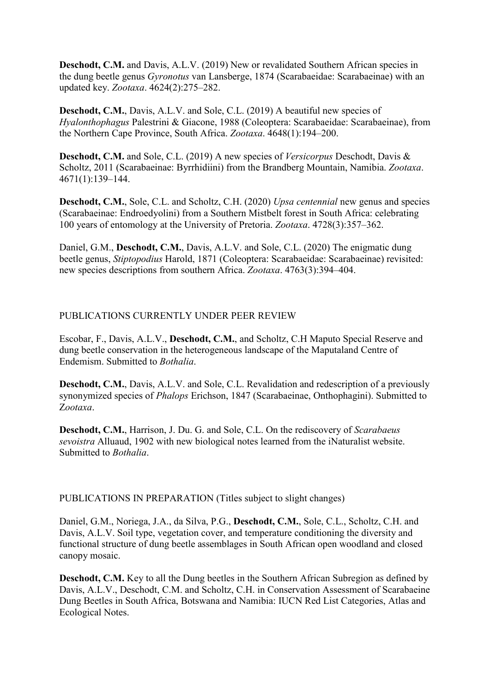**Deschodt, C.M.** and Davis, A.L.V. (2019) New or revalidated Southern African species in the dung beetle genus *Gyronotus* van Lansberge, 1874 (Scarabaeidae: Scarabaeinae) with an updated key. *Zootaxa*. 4624(2):275–282.

**Deschodt, C.M.**, Davis, A.L.V. and Sole, C.L. (2019) A beautiful new species of *Hyalonthophagus* Palestrini & Giacone, 1988 (Coleoptera: Scarabaeidae: Scarabaeinae), from the Northern Cape Province, South Africa. *Zootaxa*. 4648(1):194–200.

**Deschodt, C.M.** and Sole, C.L. (2019) A new species of *Versicorpus* Deschodt, Davis & Scholtz, 2011 (Scarabaeinae: Byrrhidiini) from the Brandberg Mountain, Namibia. *Zootaxa*. 4671(1):139–144.

**Deschodt, C.M.**, Sole, C.L. and Scholtz, C.H. (2020) *Upsa centennial* new genus and species (Scarabaeinae: Endroedyolini) from a Southern Mistbelt forest in South Africa: celebrating 100 years of entomology at the University of Pretoria. *Zootaxa*. 4728(3):357–362.

Daniel, G.M., **Deschodt, C.M.**, Davis, A.L.V. and Sole, C.L. (2020) The enigmatic dung beetle genus, *Stiptopodius* Harold, 1871 (Coleoptera: Scarabaeidae: Scarabaeinae) revisited: new species descriptions from southern Africa. *Zootaxa*. 4763(3):394–404.

### PUBLICATIONS CURRENTLY UNDER PEER REVIEW

Escobar, F., Davis, A.L.V., **Deschodt, C.M.**, and Scholtz, C.H Maputo Special Reserve and dung beetle conservation in the heterogeneous landscape of the Maputaland Centre of Endemism. Submitted to *Bothalia*.

**Deschodt, C.M.**, Davis, A.L.V. and Sole, C.L. Revalidation and redescription of a previously synonymized species of *Phalops* Erichson, 1847 (Scarabaeinae, Onthophagini). Submitted to Z*ootaxa*.

**Deschodt, C.M.**, Harrison, J. Du. G. and Sole, C.L. On the rediscovery of *Scarabaeus sevoistra* Alluaud, 1902 with new biological notes learned from the iNaturalist website. Submitted to *Bothalia*.

PUBLICATIONS IN PREPARATION (Titles subject to slight changes)

Daniel, G.M., Noriega, J.A., da Silva, P.G., **Deschodt, C.M.**, Sole, C.L., Scholtz, C.H. and Davis, A.L.V. Soil type, vegetation cover, and temperature conditioning the diversity and functional structure of dung beetle assemblages in South African open woodland and closed canopy mosaic.

**Deschodt, C.M.** Key to all the Dung beetles in the Southern African Subregion as defined by Davis, A.L.V., Deschodt, C.M. and Scholtz, C.H. in Conservation Assessment of Scarabaeine Dung Beetles in South Africa, Botswana and Namibia: IUCN Red List Categories, Atlas and Ecological Notes.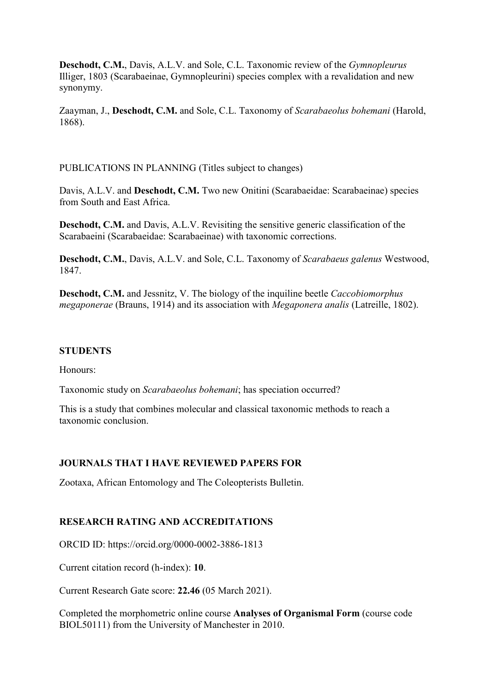**Deschodt, C.M.**, Davis, A.L.V. and Sole, C.L. Taxonomic review of the *Gymnopleurus*  Illiger, 1803 (Scarabaeinae, Gymnopleurini) species complex with a revalidation and new synonymy.

Zaayman, J., **Deschodt, C.M.** and Sole, C.L. Taxonomy of *Scarabaeolus bohemani* (Harold, 1868).

PUBLICATIONS IN PLANNING (Titles subject to changes)

Davis, A.L.V. and **Deschodt, C.M.** Two new Onitini (Scarabaeidae: Scarabaeinae) species from South and East Africa.

**Deschodt, C.M.** and Davis, A.L.V. Revisiting the sensitive generic classification of the Scarabaeini (Scarabaeidae: Scarabaeinae) with taxonomic corrections.

**Deschodt, C.M.**, Davis, A.L.V. and Sole, C.L. Taxonomy of *Scarabaeus galenus* Westwood, 1847.

**Deschodt, C.M.** and Jessnitz, V. The biology of the inquiline beetle *Caccobiomorphus megaponerae* (Brauns, 1914) and its association with *Megaponera analis* (Latreille, 1802).

#### **STUDENTS**

Honours:

Taxonomic study on *Scarabaeolus bohemani*; has speciation occurred?

This is a study that combines molecular and classical taxonomic methods to reach a taxonomic conclusion.

### **JOURNALS THAT I HAVE REVIEWED PAPERS FOR**

Zootaxa, African Entomology and The Coleopterists Bulletin.

#### **RESEARCH RATING AND ACCREDITATIONS**

ORCID ID: https://orcid.org/0000-0002-3886-1813

Current citation record (h-index): **10**.

Current Research Gate score: **22.46** (05 March 2021).

Completed the morphometric online course **Analyses of Organismal Form** (course code BIOL50111) from the University of Manchester in 2010.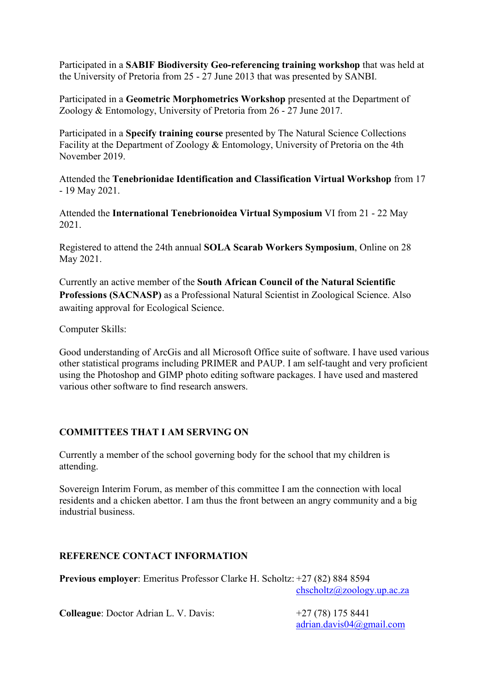Participated in a **SABIF Biodiversity Geo-referencing training workshop** that was held at the University of Pretoria from 25 - 27 June 2013 that was presented by SANBI.

Participated in a **Geometric Morphometrics Workshop** presented at the Department of Zoology & Entomology, University of Pretoria from 26 - 27 June 2017.

Participated in a **Specify training course** presented by The Natural Science Collections Facility at the Department of Zoology & Entomology, University of Pretoria on the 4th November 2019.

Attended the **Tenebrionidae Identification and Classification Virtual Workshop** from 17 - 19 May 2021.

Attended the **International Tenebrionoidea Virtual Symposium** VI from 21 - 22 May 2021.

Registered to attend the 24th annual **SOLA Scarab Workers Symposium**, Online on 28 May 2021.

Currently an active member of the **South African Council of the Natural Scientific Professions (SACNASP)** as a Professional Natural Scientist in Zoological Science. Also awaiting approval for Ecological Science.

Computer Skills:

Good understanding of ArcGis and all Microsoft Office suite of software. I have used various other statistical programs including PRIMER and PAUP. I am self-taught and very proficient using the Photoshop and GIMP photo editing software packages. I have used and mastered various other software to find research answers.

# **COMMITTEES THAT I AM SERVING ON**

Currently a member of the school governing body for the school that my children is attending.

Sovereign Interim Forum, as member of this committee I am the connection with local residents and a chicken abettor. I am thus the front between an angry community and a big industrial business.

# **REFERENCE CONTACT INFORMATION**

**Previous employer**: Emeritus Professor Clarke H. Scholtz: +27 (82) 884 8594 [chscholtz@zoology.up.ac.za](mailto:chscholtz@zoology.up.ac.za)

**Colleague**: Doctor Adrian L. V. Davis:  $+27 (78) 175 8441$ 

[adrian.davis04@gmail.com](mailto:adrian.davis04@gmail.com)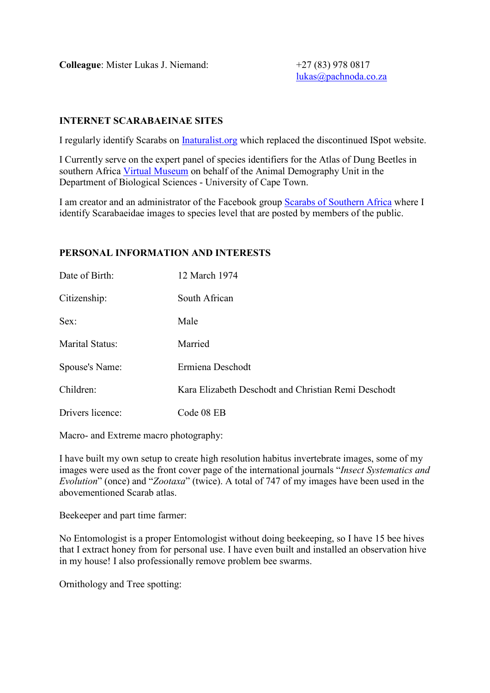**Colleague**: Mister Lukas J. Niemand:  $+27 (83) 978 0817$ 

[lukas@pachnoda.co.za](mailto:lukas@pachnoda.co.za)

## **INTERNET SCARABAEINAE SITES**

I regularly identify Scarabs on [Inaturalist.org](https://www.inaturalist.org/) which replaced the discontinued ISpot website.

I Currently serve on the expert panel of species identifiers for the Atlas of Dung Beetles in southern Africa [Virtual Museum](http://vmus.adu.org.za/vm_search.php?database=dungbeetlemap&prj_acronym=DungBeetleMAP&db=dungbeetlemap&URL=&Logo=images/dungbeetlemap_logo.png&Headline=Atlas%20of%20Dung%20Beetles%20in%20southern%20Africa.&Use_main_filter=0&User_id=&Full_name=&serve_sp_list=1&drop_down_list=Latin%20names&assessment=0) on behalf of the Animal Demography Unit in the Department of Biological Sciences - University of Cape Town.

I am creator and an administrator of the Facebook group [Scarabs of Southern Africa](https://www.facebook.com/groups/701864063176980/) where I identify Scarabaeidae images to species level that are posted by members of the public.

## **PERSONAL INFORMATION AND INTERESTS**

| Date of Birth:         | 12 March 1974                                       |
|------------------------|-----------------------------------------------------|
| Citizenship:           | South African                                       |
| Sex:                   | Male                                                |
| <b>Marital Status:</b> | Married                                             |
| Spouse's Name:         | Ermiena Deschodt                                    |
| Children:              | Kara Elizabeth Deschodt and Christian Remi Deschodt |
| Drivers licence:       | Code 08 EB                                          |

Macro- and Extreme macro photography:

I have built my own setup to create high resolution habitus invertebrate images, some of my images were used as the front cover page of the international journals "*Insect Systematics and Evolution*" (once) and "*Zootaxa*" (twice). A total of 747 of my images have been used in the abovementioned Scarab atlas.

Beekeeper and part time farmer:

No Entomologist is a proper Entomologist without doing beekeeping, so I have 15 bee hives that I extract honey from for personal use. I have even built and installed an observation hive in my house! I also professionally remove problem bee swarms.

Ornithology and Tree spotting: